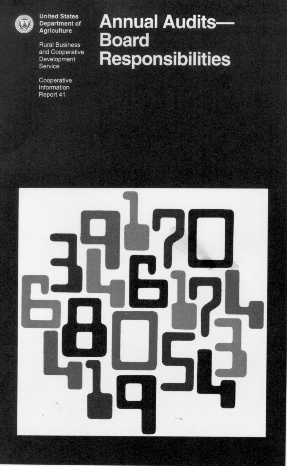

**United States Department of Agriculture** 

**Rural Business** and Cooperative Development Service

Cooperative Information Report 41

# **Annual Audits-Board Responsibilities**

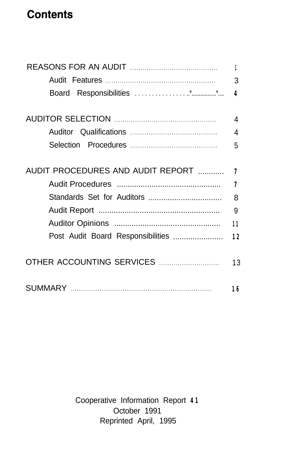## **Contents**

|                                   | 1                       |
|-----------------------------------|-------------------------|
|                                   | 3                       |
|                                   | $\overline{\mathbf{4}}$ |
|                                   | 4                       |
|                                   | 4                       |
|                                   | 5                       |
| AUDIT PROCEDURES AND AUDIT REPORT | 7                       |
|                                   | 7                       |
|                                   | 8                       |
|                                   | 9                       |
|                                   | 11                      |
| Post Audit Board Responsibilities | 12                      |
|                                   | 13                      |
|                                   | 16                      |

Cooperative Information Report **41** October 1991 Reprinted April, 1995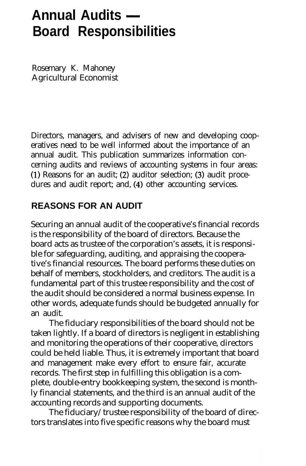# Annual Audits — **Board Responsibilities**

Rosemary K. Mahoney Agricultural Economist

Directors, managers, and advisers of new and developing cooperatives need to be well informed about the importance of an annual audit. This publication summarizes information concerning audits and reviews of accounting systems in four areas: **(1)** Reasons for an audit; (2) auditor selection; (3) audit procedures and audit report; and, (4) other accounting services.

#### **REASONS FOR AN AUDIT**

Securing an annual audit of the cooperative's financial records is the responsibility of the board of directors. Because the board acts as trustee of the corporation's assets, it is responsible for safeguarding, auditing, and appraising the cooperative's financial resources. The board performs these duties on behalf of members, stockholders, and creditors. The audit is a fundamental part of this trustee responsibility and the cost of the audit should be considered a normal business expense. In other words, adequate funds should be budgeted annually for an audit.

The fiduciary responsibilities of the board should not be taken lightly. If a board of directors is negligent in establishing and monitoring the operations of their cooperative, directors could be held liable. Thus, it is extremely important that board and management make every effort to ensure fair, accurate records. The first step in fulfilling this obligation is a complete, double-entry bookkeeping system, the second is monthly financial statements, and the third is an annual audit of the accounting records and supporting documents.

The fiduciary/trustee responsibility of the board of directors translates into five specific reasons why the board must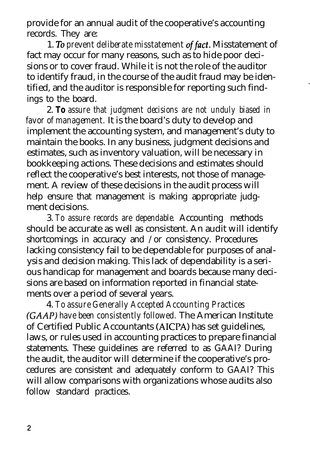provide for an annual audit of the cooperative's accounting records. They are:

1. TO *prevent deliberate misstatement offact.* Misstatement of fact may occur for many reasons, such as to hide poor decisions or to cover fraud. While it is not the role of the auditor to identify fraud, in the course of the audit fraud may be identified, and the auditor is responsible for reporting such findings to the board.

2. *To assure that judgment decisions are not unduly biased in favor of management.* It is the board's duty to develop and implement the accounting system, and management's duty to maintain the books. In any business, judgment decisions and estimates, such as inventory valuation, will be necessary in bookkeeping actions. These decisions and estimates should reflect the cooperative's best interests, not those of management. A review of these decisions in the audit process will help ensure that management is making appropriate judgment decisions.

3. *To assure records are dependable.* Accounting methods should be accurate as well as consistent. An audit will identify shortcomings in accuracy and /or consistency. Procedures lacking consistency fail to be dependable for purposes of analysis and decision making. This lack of dependability is a serious handicap for management and boards because many decisions are based on information reported in financial statements over a period of several years.

4. *To assure Generally Accepted Accounting Practices (GAAP) have been consistently followed.* The American Institute of Certified Public Accountants (AICPA) has set guidelines, laws, or rules used in accounting practices to prepare financial statements. These guidelines are referred to as GAAI? During the audit, the auditor will determine if the cooperative's procedures are consistent and adequately conform to GAAI? This will allow comparisons with organizations whose audits also follow standard practices.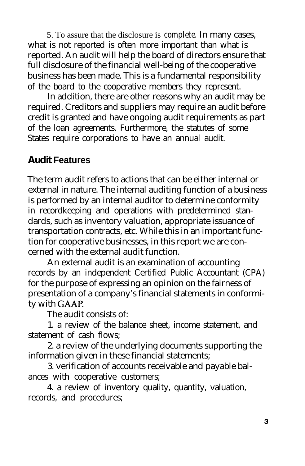5. To assure that the disclosure is *complete.* In many cases, what is not reported is often more important than what is reported. An audit will help the board of directors ensure that full disclosure of the financial well-being of the cooperative business has been made. This is a fundamental responsibility of the board to the cooperative members they represent.

In addition, there are other reasons why an audit may be required. Creditors and suppliers may require an audit before credit is granted and have ongoing audit requirements as part of the loan agreements. Furthermore, the statutes of some States require corporations to have an annual audit.

#### **Audit Features**

The term audit refers to actions that can be either internal or external in nature. The internal auditing function of a business is performed by an internal auditor to determine conformity in recordkeeping and operations with predetermined standards, such as inventory valuation, appropriate issuance of transportation contracts, etc. While this in an important function for cooperative businesses, in this report we are concerned with the external audit function.

An external audit is an examination of accounting records by an independent Certified Public Accountant (CPA) for the purpose of expressing an opinion on the fairness of presentation of a company's financial statements in conformity with GAAP.

The audit consists of:

1. a review of the balance sheet, income statement, and statement of cash flows;

2. a review of the underlying documents supporting the information given in these financial statements;

3. verification of accounts receivable and payable balances with cooperative customers;

4. a review of inventory quality, quantity, valuation, records, and procedures;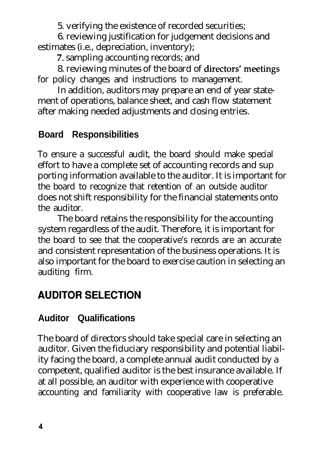5. verifying the existence of recorded securities;

6. reviewing justification for judgement decisions and estimates (i.e., depreciation, inventory);

7. sampling accounting records; and

8. reviewing minutes of the board of directors' meetings for policy changes and instructions to management.

In addition, auditors may prepare an end of year statement of operations, balance sheet, and cash flow statement after making needed adjustments and closing entries.

#### **Board Responsibilities**

To ensure a successful audit, the board should make special effort to have a complete set of accounting records and sup porting information available to the auditor. It is important for the board to recognize that retention of an outside auditor does not shift responsibility for the financial statements onto the auditor.

The board retains the responsibility for the accounting system regardless of the audit. Therefore, it is important for the board to see that the cooperative's records are an accurate and consistent representation of the business operations. It is also important for the board to exercise caution in selecting an auditing firm.

## **AUDITOR SELECTION**

#### **Auditor Qualifications**

The board of directors should take special care in selecting an auditor. Given the fiduciary responsibility and potential liability facing the board, a complete annual audit conducted by a competent, qualified auditor is the best insurance available. If at all possible, an auditor with experience with cooperative accounting and familiarity with cooperative law is preferable.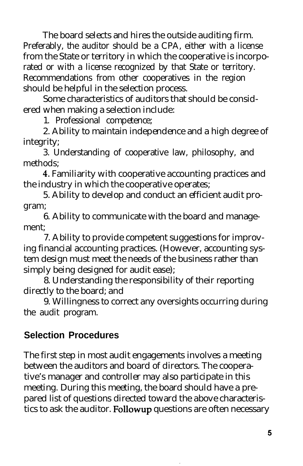The board selects and hires the outside auditing firm. Preferably, the auditor should be a CPA, either with a license from the State or territory in which the cooperative is incorporated or with a license recognized by that State or territory. Recommendations from other cooperatives in the region should be helpful in the selection process.

Some characteristics of auditors that should be considered when making a selection include:

1. Professional competence;

2. Ability to maintain independence and a high degree of integrity;

3. Understanding of cooperative law, philosophy, and methods;

4. Familiarity with cooperative accounting practices and the industry in which the cooperative operates;

5. Ability to develop and conduct an efficient audit program;

6. Ability to communicate with the board and management;

7. Ability to provide competent suggestions for improving financial accounting practices. (However, accounting system design must meet the needs of the business rather than simply being designed for audit ease);

8. Understanding the responsibility of their reporting directly to the board; and

9. Willingness to correct any oversights occurring during the audit program.

#### **Selection Procedures**

The first step in most audit engagements involves a meeting between the auditors and board of directors. The cooperative's manager and controller may also participate in this meeting. During this meeting, the board should have a prepared list of questions directed toward the above characteristics to ask the auditor. Followup questions are often necessary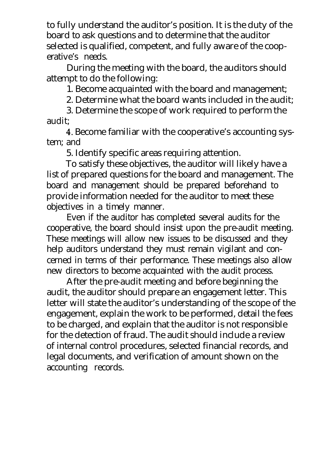to fully understand the auditor's position. It is the duty of the board to ask questions and to determine that the auditor selected is qualified, competent, and fully aware of the cooperative's needs.

During the meeting with the board, the auditors should attempt to do the following:

1. Become acquainted with the board and management;

2. Determine what the board wants included in the audit;

3. Determine the scope of work required to perform the audit;

4. Become familiar with the cooperative's accounting system; and

5. Identify specific areas requiring attention.

To satisfy these objectives, the auditor will likely have a list of prepared questions for the board and management. The board and management should be prepared beforehand to provide information needed for the auditor to meet these objectives in a timely manner.

Even if the auditor has completed several audits for the cooperative, the board should insist upon the pre-audit meeting. These meetings will allow new issues to be discussed and they help auditors understand they must remain vigilant and concerned in terms of their performance. These meetings also allow new directors to become acquainted with the audit process.

After the pre-audit meeting and before beginning the audit, the auditor should prepare an engagement letter. This letter will state the auditor's understanding of the scope of the engagement, explain the work to be performed, detail the fees to be charged, and explain that the auditor is not responsible for the detection of fraud. The audit should include a review of internal control procedures, selected financial records, and legal documents, and verification of amount shown on the accounting records.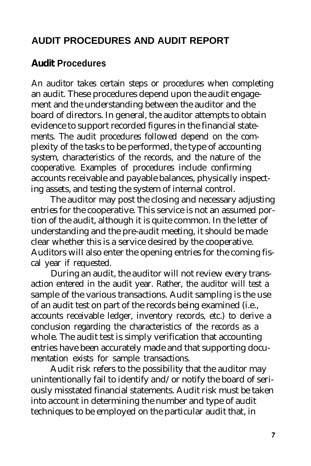#### **AUDIT PROCEDURES AND AUDIT REPORT**

#### **Audit Procedures**

An auditor takes certain steps or procedures when completing an audit. These procedures depend upon the audit engagement and the understanding between the auditor and the board of directors. In general, the auditor attempts to obtain evidence to support recorded figures in the financial statements. The audit procedures followed depend on the complexity of the tasks to be performed, the type of accounting system, characteristics of the records, and the nature of the cooperative. Examples of procedures include confirming accounts receivable and payable balances, physically inspecting assets, and testing the system of internal control.

The auditor may post the closing and necessary adjusting entries for the cooperative. This service is not an assumed portion of the audit, although it is quite common. In the letter of understanding and the pre-audit meeting, it should be made clear whether this is a service desired by the cooperative. Auditors will also enter the opening entries for the coming fiscal year if requested.

During an audit, the auditor will not review every transaction entered in the audit year. Rather, the auditor will test a sample of the various transactions. Audit sampling is the use of an audit test on part of the records being examined (i.e., accounts receivable ledger, inventory records, etc.) to derive a conclusion regarding the characteristics of the records as a whole. The audit test is simply verification that accounting entries have been accurately made and that supporting documentation exists for sample transactions.

Audit risk refers to the possibility that the auditor may unintentionally fail to identify and/or notify the board of seriously misstated financial statements. Audit risk must be taken into account in determining the number and type of audit techniques to be employed on the particular audit that, in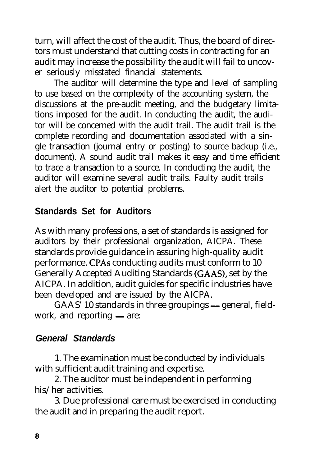turn, will affect the cost of the audit. Thus, the board of directors must understand that cutting costs in contracting for an audit may increase the possibility the audit will fail to uncover seriously misstated financial statements.

The auditor will determine the type and level of sampling to use based on the complexity of the accounting system, the discussions at the pre-audit meeting, and the budgetary limitations imposed for the audit. In conducting the audit, the auditor will be concerned with the audit trail. The audit trail is the complete recording and documentation associated with a single transaction (journal entry or posting) to source backup (i.e., document). A sound audit trail makes it easy and time efficient to trace a transaction to a source. In conducting the audit, the auditor will examine several audit trails. Faulty audit trails alert the auditor to potential problems.

#### **Standards Set for Auditors**

As with many professions, a set of standards is assigned for auditors by their professional organization, AICPA. These standards provide guidance in assuring high-quality audit performance. CPAs conducting audits must conform to 10 Generally Accepted Auditing Standards (GAAS), set by the AICPA. In addition, audit guides for specific industries have been developed and are issued by the AICPA.

GAAS' 10 standards in three groupings - general, fieldwork, and reporting  $-$  are:

#### *General Standards*

1. The examination must be conducted by individuals with sufficient audit training and expertise.

2. The auditor must be independent in performing his/her activities.

3. Due professional care must be exercised in conducting the audit and in preparing the audit report.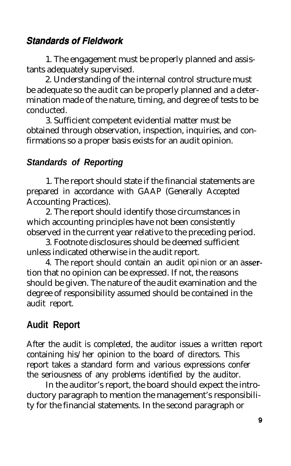#### **Standards of Fieldwork**

1. The engagement must be properly planned and assistants adequately supervised.

2. Understanding of the internal control structure must be adequate so the audit can be properly planned and a determination made of the nature, timing, and degree of tests to be conducted.

3. Sufficient competent evidential matter must be obtained through observation, inspection, inquiries, and confirmations so a proper basis exists for an audit opinion.

#### *Standards of Reporting*

1. The report should state if the financial statements are prepared in accordance with GAAP (Generally Accepted Accounting Practices).

2. The report should identify those circumstances in which accounting principles have not been consistently observed in the current year relative to the preceding period.

3. Footnote disclosures should be deemed sufficient unless indicated otherwise in the audit report.

4. The report should contain an audit opinion or an assertion that no opinion can be expressed. If not, the reasons should be given. The nature of the audit examination and the degree of responsibility assumed should be contained in the audit report.

#### **Audit Report**

After the audit is completed, the auditor issues a written report containing his/her opinion to the board of directors. This report takes a standard form and various expressions confer the seriousness of any problems identified by the auditor.

In the auditor's report, the board should expect the introductory paragraph to mention the management's responsibility for the financial statements. In the second paragraph or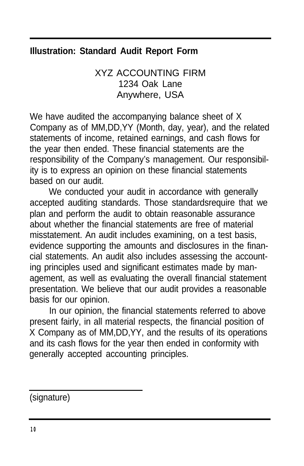#### **Illustration: Standard Audit Report Form**

XYZ ACCOUNTING FIRM 1234 Oak Lane Anywhere, USA

We have audited the accompanying balance sheet of X Company as of MM,DD,YY (Month, day, year), and the related statements of income, retained earnings, and cash flows for the year then ended. These financial statements are the responsibility of the Company's management. Our responsibility is to express an opinion on these financial statements based on our audit.

We conducted your audit in accordance with generally accepted auditing standards. Those standardsrequire that we plan and perform the audit to obtain reasonable assurance about whether the financial statements are free of material misstatement. An audit includes examining, on a test basis, evidence supporting the amounts and disclosures in the financial statements. An audit also includes assessing the accounting principles used and significant estimates made by management, as well as evaluating the overall financial statement presentation. We believe that our audit provides a reasonable basis for our opinion.

In our opinion, the financial statements referred to above present fairly, in all material respects, the financial position of X Company as of MM,DD,YY, and the results of its operations and its cash flows for the year then ended in conformity with generally accepted accounting principles.

(signature)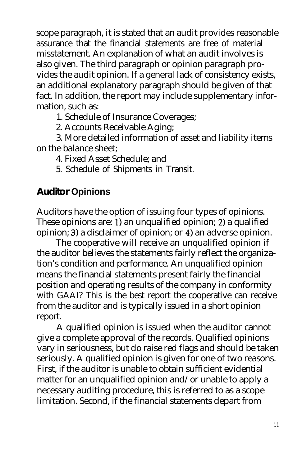scope paragraph, it is stated that an audit provides reasonable assurance that the financial statements are free of material misstatement. An explanation of what an audit involves is also given. The third paragraph or opinion paragraph provides the audit opinion. If a general lack of consistency exists, an additional explanatory paragraph should be given of that fact. In addition, the report may include supplementary information, such as:

1. Schedule of Insurance Coverages;

2. Accounts Receivable Aging;

3. More detailed information of asset and liability items on the balance sheet;

- 4. Fixed Asset Schedule; and
- 5. Schedule of Shipments in Transit.

#### **Auditor Opinions**

Auditors have the option of issuing four types of opinions. These opinions are: 1) an unqualified opinion; 2) a qualified opinion; 3) a disclaimer of opinion; or 4) an adverse opinion.

The cooperative will receive an unqualified opinion if the auditor believes the statements fairly reflect the organization's condition and performance. An unqualified opinion means the financial statements present fairly the financial position and operating results of the company in conformity with GAAI? This is the best report the cooperative can receive from the auditor and is typically issued in a short opinion report.

A qualified opinion is issued when the auditor cannot give a complete approval of the records. Qualified opinions vary in seriousness, but do raise red flags and should be taken seriously. A qualified opinion is given for one of two reasons. First, if the auditor is unable to obtain sufficient evidential matter for an unqualified opinion and/or unable to apply a necessary auditing procedure, this is referred to as a scope limitation. Second, if the financial statements depart from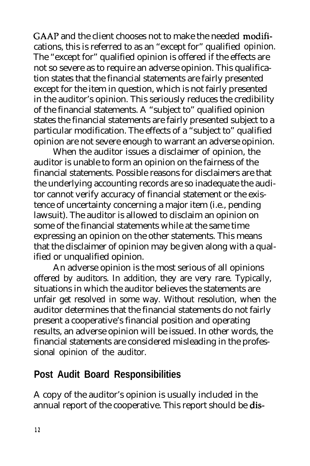GAAP and the client chooses not to make the needed modifications, this is referred to as an "except for" qualified opinion. The "except for" qualified opinion is offered if the effects are not so severe as to require an adverse opinion. This qualification states that the financial statements are fairly presented except for the item in question, which is not fairly presented in the auditor's opinion. This seriously reduces the credibility of the financial statements. A "subject to" qualified opinion states the financial statements are fairly presented subject to a particular modification. The effects of a "subject to" qualified opinion are not severe enough to warrant an adverse opinion.

When the auditor issues a disclaimer of opinion, the auditor is unable to form an opinion on the fairness of the financial statements. Possible reasons for disclaimers are that the underlying accounting records are so inadequate the auditor cannot verify accuracy of financial statement or the existence of uncertainty concerning a major item (i.e., pending lawsuit). The auditor is allowed to disclaim an opinion on some of the financial statements while at the same time expressing an opinion on the other statements. This means that the disclaimer of opinion may be given along with a qualified or unqualified opinion.

An adverse opinion is the most serious of all opinions offered by auditors. In addition, they are very rare. Typically, situations in which the auditor believes the statements are unfair get resolved in some way. Without resolution, when the auditor determines that the financial statements do not fairly present a cooperative's financial position and operating results, an adverse opinion will be issued. In other words, the financial statements are considered misleading in the professional opinion of the auditor.

#### **Post Audit Board Responsibilities**

A copy of the auditor's opinion is usually included in the annual report of the cooperative. This report should be **dis-**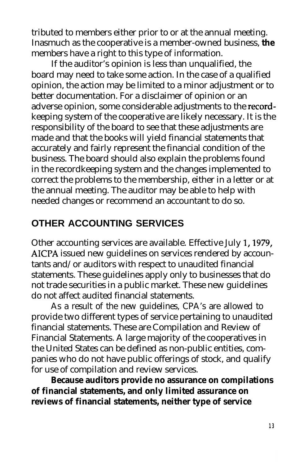tributed to members either prior to or at the annual meeting. Inasmuch as the cooperative is a member-owned business, **the** members have a right to this type of information.

If the auditor's opinion is less than unqualified, the board may need to take some action. In the case of a qualified opinion, the action may be limited to a minor adjustment or to better documentation. For a disclaimer of opinion or an adverse opinion, some considerable adjustments to the recordkeeping system of the cooperative are likely necessary. It is the responsibility of the board to see that these adjustments are made and that the books will yield financial statements that accurately and fairly represent the financial condition of the business. The board should also explain the problems found in the recordkeeping system and the changes implemented to correct the problems to the membership, either in a letter or at the annual meeting. The auditor may be able to help with needed changes or recommend an accountant to do so.

#### **OTHER ACCOUNTING SERVICES**

Other accounting services are available. Effective July 1,1979, AICPA issued new guidelines on services rendered by accountants and/or auditors with respect to unaudited financial statements. These guidelines apply only to businesses that do not trade securities in a public market. These new guidelines do not affect audited financial statements.

As a result of the new guidelines, CPA's are allowed to provide two different types of service pertaining to unaudited financial statements. These are Compilation and Review of Financial Statements. A large majority of the cooperatives in the United States can be defined as non-public entities, companies who do not have public offerings of stock, and qualify for use of compilation and review services.

**Because auditors provide no assurance on compilations of financial statements, and only limited assurance on reviews of financial statements, neither type of service**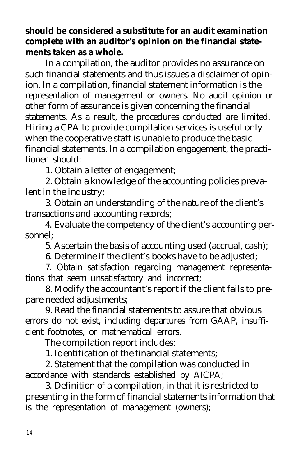#### **should be considered a substitute for an audit examination complete with an auditor's opinion on the financial statements taken as a whole.**

In a compilation, the auditor provides no assurance on such financial statements and thus issues a disclaimer of opinion. In a compilation, financial statement information is the representation of management or owners. No audit opinion or other form of assurance is given concerning the financial statements. As a result, the procedures conducted are limited. Hiring a CPA to provide compilation services is useful only when the cooperative staff is unable to produce the basic financial statements. In a compilation engagement, the practitioner should:

1. Obtain a letter of engagement;

2. Obtain a knowledge of the accounting policies prevalent in the industry;

3. Obtain an understanding of the nature of the client's transactions and accounting records;

4. Evaluate the competency of the client's accounting personnel;

5. Ascertain the basis of accounting used (accrual, cash);

6. Determine if the client's books have to be adjusted;

7. Obtain satisfaction regarding management representations that seem unsatisfactory and incorrect;

8. Modify the accountant's report if the client fails to prepare needed adjustments;

9. Read the financial statements to assure that obvious errors do not exist, including departures from GAAP, insufficient footnotes, or mathematical errors.

The compilation report includes:

1. Identification of the financial statements;

2. Statement that the compilation was conducted in accordance with standards established by AICPA;

3. Definition of a compilation, in that it is restricted to presenting in the form of financial statements information that is the representation of management (owners);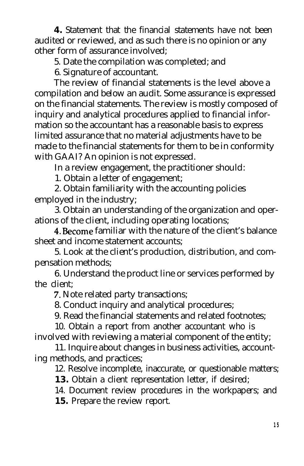**4.** Statement that the financial statements have not been audited or reviewed, and as such there is no opinion or any other form of assurance involved;

5. Date the compilation was completed; and

6. Signature of accountant.

The review of financial statements is the level above a compilation and below an audit. Some assurance is expressed on the financial statements. The review is mostly composed of inquiry and analytical procedures applied to financial information so the accountant has a reasonable basis to express limited assurance that no material adjustments have to be made to the financial statements for them to be in conformity with GAAI? An opinion is not expressed.

In a review engagement, the practitioner should:

1. Obtain a letter of engagement;

2. Obtain familiarity with the accounting policies employed in the industry;

3. Obtain an understanding of the organization and operations of the client, including operating locations;

4. Become familiar with the nature of the client's balance sheet and income statement accounts;

5. Look at the client's production, distribution, and compensation methods;

6. Understand the product line or services performed by the client;

7. Note related party transactions;

8. Conduct inquiry and analytical procedures;

9. Read the financial statements and related footnotes;

10. Obtain a report from another accountant who is involved with reviewing a material component of the entity;

11. Inquire about changes in business activities, accounting methods, and practices;

12. Resolve incomplete, inaccurate, or questionable matters;

**13.** Obtain a client representation letter, if desired;

14. Document review procedures in the workpapers; and

**15.** Prepare the review report.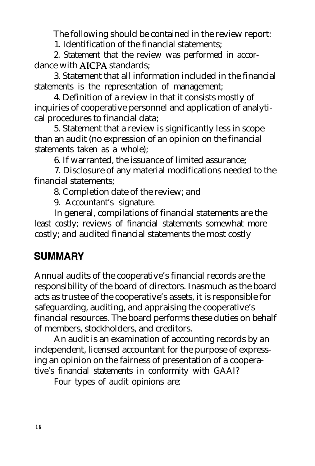The following should be contained in the review report:

1. Identification of the financial statements;

2. Statement that the review was performed in accordance with AICPA standards;

3. Statement that all information included in the financial statements is the representation of management;

4. Definition of a review in that it consists mostly of inquiries of cooperative personnel and application of analytical procedures to financial data;

5. Statement that a review is significantly less in scope than an audit (no expression of an opinion on the financial statements taken as a whole);

6. If warranted, the issuance of limited assurance;

7. Disclosure of any material modifications needed to the financial statements;

8. Completion date of the review; and

9. Accountant's signature.

In general, compilations of financial statements are the least costly; reviews of financial statements somewhat more costly; and audited financial statements the most costly

#### **SUMMARY**

Annual audits of the cooperative's financial records are the responsibility of the board of directors. Inasmuch as the board acts as trustee of the cooperative's assets, it is responsible for safeguarding, auditing, and appraising the cooperative's financial resources. The board performs these duties on behalf of members, stockholders, and creditors.

An audit is an examination of accounting records by an independent, licensed accountant for the purpose of expressing an opinion on the fairness of presentation of a cooperative's financial statements in conformity with GAAI?

Four types of audit opinions are: